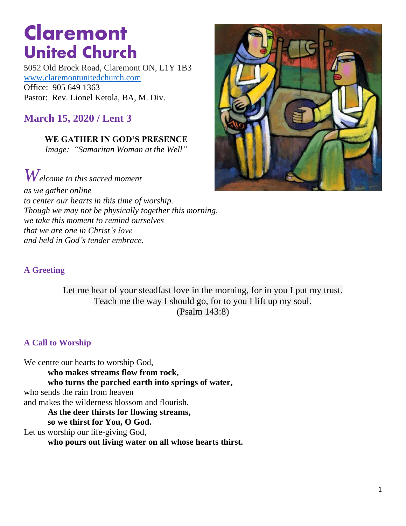# **Claremont United Church**

5052 Old Brock Road, Claremont ON, L1Y 1B3 [www.claremontunitedchurch.com](http://www.claremontunitedchurch.com/)  Office: 905 649 1363 Pastor: Rev. Lionel Ketola, BA, M. Div.

**March 15, 2020 / Lent 3**

**WE GATHER IN GOD'S PRESENCE**  *Image: "Samaritan Woman at the Well"*

*Welcome to this sacred moment*

*as we gather online to center our hearts in this time of worship. Though we may not be physically together this morning, we take this moment to remind ourselves that we are one in Christ's love and held in God's tender embrace.* 



Let me hear of your steadfast love in the morning, for in you I put my trust. Teach me the way I should go, for to you I lift up my soul. (Psalm 143:8)

#### **A Call to Worship**

We centre our hearts to worship God, **who makes streams flow from rock, who turns the parched earth into springs of water,** who sends the rain from heaven and makes the wilderness blossom and flourish. **As the deer thirsts for flowing streams, so we thirst for You, O God.** Let us worship our life-giving God, **who pours out living water on all whose hearts thirst.** 

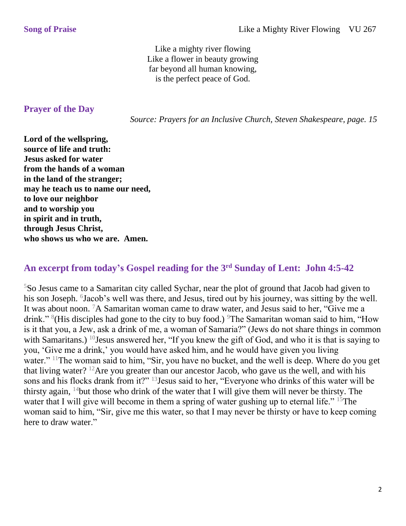Like a mighty river flowing Like a flower in beauty growing far beyond all human knowing, is the perfect peace of God.

#### **Prayer of the Day**

 *Source: Prayers for an Inclusive Church, Steven Shakespeare, page. 15* 

**Lord of the wellspring, source of life and truth: Jesus asked for water from the hands of a woman in the land of the stranger; may he teach us to name our need, to love our neighbor and to worship you in spirit and in truth, through Jesus Christ, who shows us who we are. Amen.** 

## **An excerpt from today's Gospel reading for the 3rd Sunday of Lent: John 4:5-42**

<sup>5</sup>So Jesus came to a Samaritan city called Sychar, near the plot of ground that Jacob had given to his son Joseph. <sup>6</sup>Jacob's well was there, and Jesus, tired out by his journey, was sitting by the well. It was about noon. <sup>7</sup>A Samaritan woman came to draw water, and Jesus said to her, "Give me a drink." <sup>8</sup>(His disciples had gone to the city to buy food.) <sup>9</sup>The Samaritan woman said to him, "How is it that you, a Jew, ask a drink of me, a woman of Samaria?" (Jews do not share things in common with Samaritans.) <sup>10</sup>Jesus answered her, "If you knew the gift of God, and who it is that is saying to you, 'Give me a drink,' you would have asked him, and he would have given you living water." <sup>11</sup>The woman said to him, "Sir, you have no bucket, and the well is deep. Where do you get that living water? <sup>12</sup>Are you greater than our ancestor Jacob, who gave us the well, and with his sons and his flocks drank from it?" <sup>13</sup>Jesus said to her, "Everyone who drinks of this water will be thirsty again,  $14$  but those who drink of the water that I will give them will never be thirsty. The water that I will give will become in them a spring of water gushing up to eternal life." <sup>15</sup>The woman said to him, "Sir, give me this water, so that I may never be thirsty or have to keep coming here to draw water."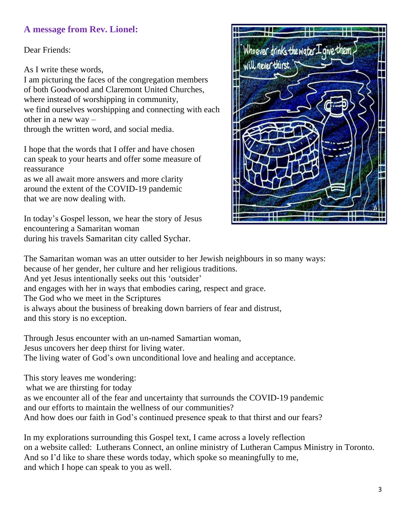### **A message from Rev. Lionel:**

Dear Friends:

As I write these words,

I am picturing the faces of the congregation members of both Goodwood and Claremont United Churches, where instead of worshipping in community, we find ourselves worshipping and connecting with each other in a new way –

through the written word, and social media.

I hope that the words that I offer and have chosen can speak to your hearts and offer some measure of reassurance

as we all await more answers and more clarity around the extent of the COVID-19 pandemic that we are now dealing with.

In today's Gospel lesson, we hear the story of Jesus encountering a Samaritan woman during his travels Samaritan city called Sychar.



The Samaritan woman was an utter outsider to her Jewish neighbours in so many ways: because of her gender, her culture and her religious traditions. And yet Jesus intentionally seeks out this 'outsider'

and engages with her in ways that embodies caring, respect and grace.

The God who we meet in the Scriptures

is always about the business of breaking down barriers of fear and distrust,

and this story is no exception.

Through Jesus encounter with an un-named Samartian woman, Jesus uncovers her deep thirst for living water. The living water of God's own unconditional love and healing and acceptance.

This story leaves me wondering: what we are thirsting for today as we encounter all of the fear and uncertainty that surrounds the COVID-19 pandemic and our efforts to maintain the wellness of our communities? And how does our faith in God's continued presence speak to that thirst and our fears?

In my explorations surrounding this Gospel text, I came across a lovely reflection on a website called: Lutherans Connect, an online ministry of Lutheran Campus Ministry in Toronto. And so I'd like to share these words today, which spoke so meaningfully to me, and which I hope can speak to you as well.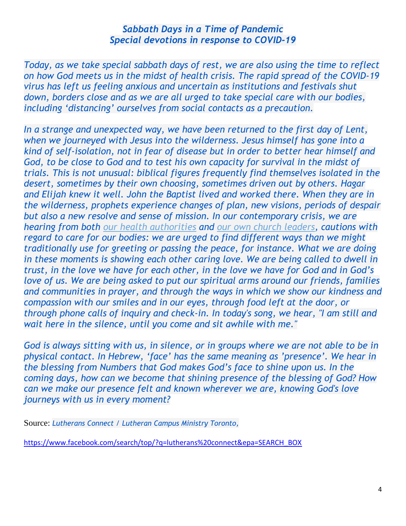#### *Sabbath Days in a Time of Pandemic Special devotions in response to COVID-19*

*Today, as we take special sabbath days of rest, we are also using the time to reflect on how God meets us in the midst of health crisis. The rapid spread of the COVID-19 virus has left us feeling anxious and uncertain as institutions and festivals shut down, borders close and as we are all urged to take special care with our bodies, including 'distancing' ourselves from social contacts as a precaution.* 

*In a strange and unexpected way, we have been returned to the first day of Lent, when we journeyed with Jesus into the wilderness. Jesus himself has gone into a kind of self-isolation, not in fear of disease but in order to better hear himself and*  God, to be close to God and to test his own capacity for survival in the midst of *trials. This is not unusual: biblical figures frequently find themselves isolated in the desert, sometimes by their own choosing, sometimes driven out by others. Hagar and Elijah knew it well. John the Baptist lived and worked there. When they are in the wilderness, prophets experience changes of plan, new visions, periods of despair but also a new resolve and sense of mission. In our contemporary crisis, we are hearing from both [our health authorities](https://www.canada.ca/en/public-health/services/diseases/coronavirus-disease-covid-19.html) and [our own church leaders,](http://elcic.ca/documents/20200313BishopsUpdateCOVID19.pdf) cautions with regard to care for our bodies: we are urged to find different ways than we might traditionally use for greeting or passing the peace, for instance. What we are doing in these moments is showing each other caring love. We are being called to dwell in trust, in the love we have for each other, in the love we have for God and in God's love of us. We are being asked to put our spiritual arms around our friends, families and communities in prayer, and through the ways in which we show our kindness and compassion with our smiles and in our eyes, through food left at the door, or through phone calls of inquiry and check-in. In today's song, we hear, "I am still and wait here in the silence, until you come and sit awhile with me."* 

*God is always sitting with us, in silence, or in groups where we are not able to be in physical contact. In Hebrew, 'face' has the same meaning as 'presence'. We hear in the blessing from Numbers that God makes God's face to shine upon us. In the coming days, how can we become that shining presence of the blessing of God? How can we make our presence felt and known wherever we are, knowing God's love journeys with us in every moment?*

Source: *Lutherans Connect / Lutheran Campus Ministry Toronto,*

[https://www.facebook.com/search/top/?q=lutherans%20connect&epa=SEARCH\\_BOX](https://www.facebook.com/search/top/?q=lutherans%20connect&epa=SEARCH_BOX)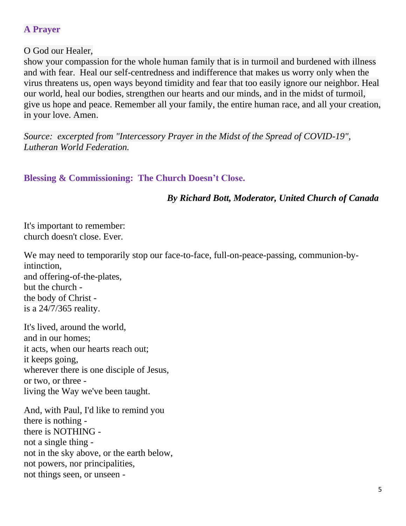## **A Prayer**

#### O God our Healer,

show your compassion for the whole human family that is in turmoil and burdened with illness and with fear. Heal our self-centredness and indifference that makes us worry only when the virus threatens us, open ways beyond timidity and fear that too easily ignore our neighbor. Heal our world, heal our bodies, strengthen our hearts and our minds, and in the midst of turmoil, give us hope and peace. Remember all your family, the entire human race, and all your creation, in your love. Amen.

*Source: excerpted from "Intercessory Prayer in the Midst of the Spread of COVID-19", Lutheran World Federation.* 

## **Blessing & Commissioning: The Church Doesn't Close.**

## *By Richard Bott, Moderator, United Church of Canada*

It's important to remember: church doesn't close. Ever.

We may need to temporarily stop our face-to-face, full-on-peace-passing, communion-byintinction, and offering-of-the-plates, but the church the body of Christ is a 24/7/365 reality.

It's lived, around the world, and in our homes; it acts, when our hearts reach out; it keeps going, wherever there is one disciple of Jesus, or two, or three living the Way we've been taught.

And, with Paul, I'd like to remind you there is nothing there is NOTHING not a single thing not in the sky above, or the earth below, not powers, nor principalities, not things seen, or unseen -